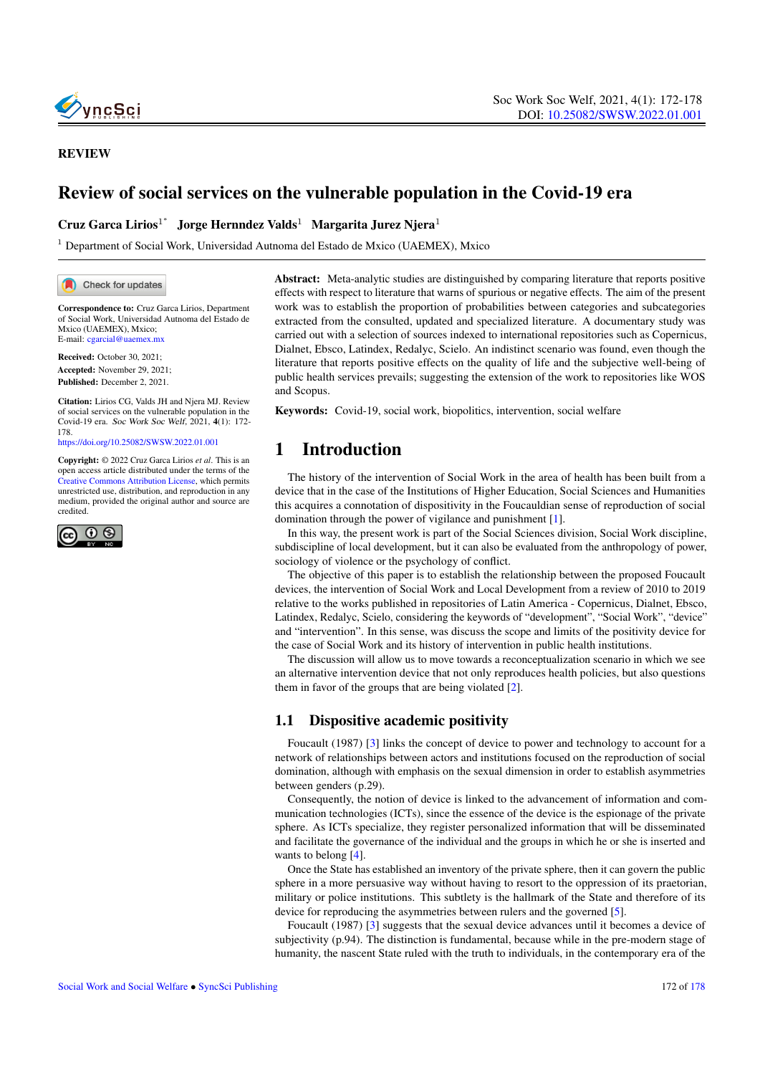

#### REVIEW

# Review of social services on the vulnerable population in the Covid-19 era

### Cruz Garca Lirios<sup>1\*</sup> Jorge Hernndez Valds<sup>1</sup> Margarita Jurez Njera<sup>1</sup>

<sup>1</sup> Department of Social Work, Universidad Autnoma del Estado de Mxico (UAEMEX), Mxico

Check for updates

Correspondence to: Cruz Garca Lirios, Department of Social Work, Universidad Autnoma del Estado de Mxico (UAEMEX), Mxico; E-mail: <cgarcial@uaemex.mx>

Received: October 30, 2021; Accepted: November 29, 2021; Published: December 2, 2021.

Citation: Lirios CG, Valds JH and Njera MJ. Review of social services on the vulnerable population in the Covid-19 era. Soc Work Soc Welf, 2021, 4(1): 172- 178. <https://doi.org/10.25082/SWSW.2022.01.001>

Copyright: © 2022 Cruz Garca Lirios *et al*. This is an open access article distributed under the terms of the [Creative Commons Attribution License,](https://creativecommons.org/licenses/by/4.0/) which permits unrestricted use, distribution, and reproduction in any medium, provided the original author and source are credited.



Abstract: Meta-analytic studies are distinguished by comparing literature that reports positive effects with respect to literature that warns of spurious or negative effects. The aim of the present work was to establish the proportion of probabilities between categories and subcategories extracted from the consulted, updated and specialized literature. A documentary study was carried out with a selection of sources indexed to international repositories such as Copernicus, Dialnet, Ebsco, Latindex, Redalyc, Scielo. An indistinct scenario was found, even though the literature that reports positive effects on the quality of life and the subjective well-being of public health services prevails; suggesting the extension of the work to repositories like WOS and Scopus.

Keywords: Covid-19, social work, biopolitics, intervention, social welfare

# 1 Introduction

The history of the intervention of Social Work in the area of health has been built from a device that in the case of the Institutions of Higher Education, Social Sciences and Humanities this acquires a connotation of dispositivity in the Foucauldian sense of reproduction of social domination through the power of vigilance and punishment [\[1\]](#page-5-0).

In this way, the present work is part of the Social Sciences division, Social Work discipline, subdiscipline of local development, but it can also be evaluated from the anthropology of power, sociology of violence or the psychology of conflict.

The objective of this paper is to establish the relationship between the proposed Foucault devices, the intervention of Social Work and Local Development from a review of 2010 to 2019 relative to the works published in repositories of Latin America - Copernicus, Dialnet, Ebsco, Latindex, Redalyc, Scielo, considering the keywords of "development", "Social Work", "device" and "intervention". In this sense, was discuss the scope and limits of the positivity device for the case of Social Work and its history of intervention in public health institutions.

The discussion will allow us to move towards a reconceptualization scenario in which we see an alternative intervention device that not only reproduces health policies, but also questions them in favor of the groups that are being violated [\[2\]](#page-5-1).

### 1.1 Dispositive academic positivity

Foucault (1987) [\[3\]](#page-5-2) links the concept of device to power and technology to account for a network of relationships between actors and institutions focused on the reproduction of social domination, although with emphasis on the sexual dimension in order to establish asymmetries between genders (p.29).

Consequently, the notion of device is linked to the advancement of information and communication technologies (ICTs), since the essence of the device is the espionage of the private sphere. As ICTs specialize, they register personalized information that will be disseminated and facilitate the governance of the individual and the groups in which he or she is inserted and wants to belong [\[4\]](#page-5-3).

Once the State has established an inventory of the private sphere, then it can govern the public sphere in a more persuasive way without having to resort to the oppression of its praetorian, military or police institutions. This subtlety is the hallmark of the State and therefore of its device for reproducing the asymmetries between rulers and the governed [\[5\]](#page-5-4).

Foucault (1987) [\[3\]](#page-5-2) suggests that the sexual device advances until it becomes a device of subjectivity (p.94). The distinction is fundamental, because while in the pre-modern stage of humanity, the nascent State ruled with the truth to individuals, in the contemporary era of the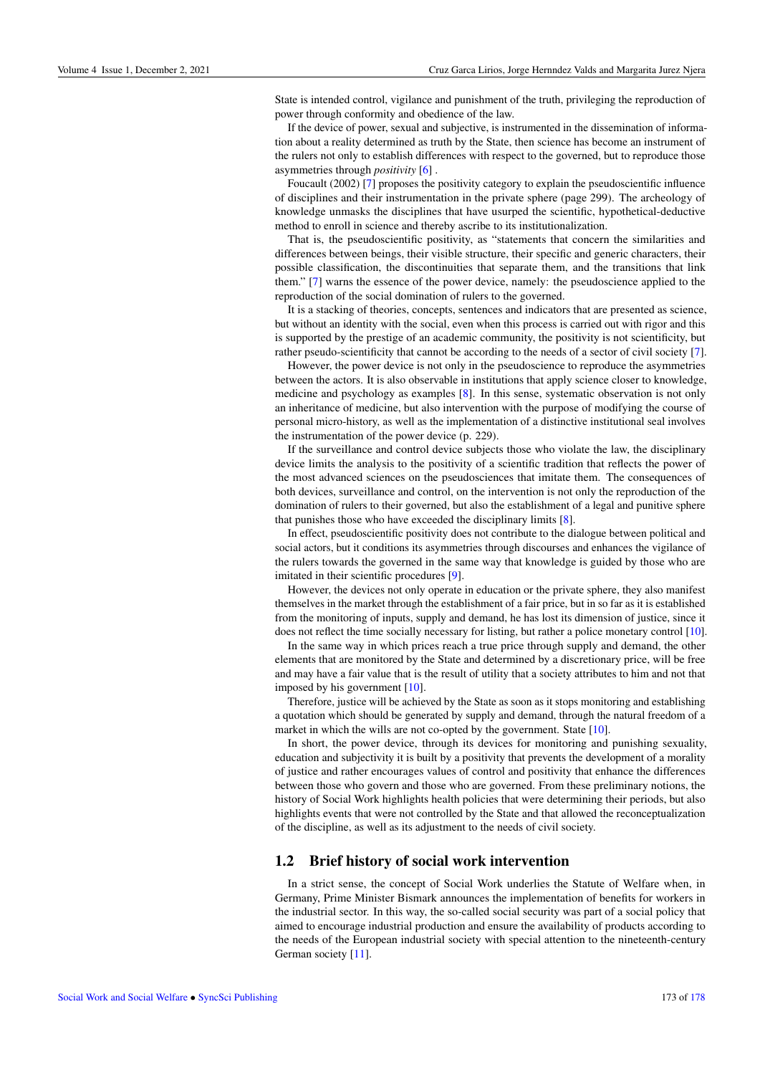State is intended control, vigilance and punishment of the truth, privileging the reproduction of power through conformity and obedience of the law.

If the device of power, sexual and subjective, is instrumented in the dissemination of information about a reality determined as truth by the State, then science has become an instrument of the rulers not only to establish differences with respect to the governed, but to reproduce those asymmetries through *positivity* [\[6\]](#page-5-5) .

Foucault (2002) [\[7\]](#page-5-6) proposes the positivity category to explain the pseudoscientific influence of disciplines and their instrumentation in the private sphere (page 299). The archeology of knowledge unmasks the disciplines that have usurped the scientific, hypothetical-deductive method to enroll in science and thereby ascribe to its institutionalization.

That is, the pseudoscientific positivity, as "statements that concern the similarities and differences between beings, their visible structure, their specific and generic characters, their possible classification, the discontinuities that separate them, and the transitions that link them." [\[7\]](#page-5-6) warns the essence of the power device, namely: the pseudoscience applied to the reproduction of the social domination of rulers to the governed.

It is a stacking of theories, concepts, sentences and indicators that are presented as science, but without an identity with the social, even when this process is carried out with rigor and this is supported by the prestige of an academic community, the positivity is not scientificity, but rather pseudo-scientificity that cannot be according to the needs of a sector of civil society [\[7\]](#page-5-6).

However, the power device is not only in the pseudoscience to reproduce the asymmetries between the actors. It is also observable in institutions that apply science closer to knowledge, medicine and psychology as examples [\[8\]](#page-6-1). In this sense, systematic observation is not only an inheritance of medicine, but also intervention with the purpose of modifying the course of personal micro-history, as well as the implementation of a distinctive institutional seal involves the instrumentation of the power device (p. 229).

If the surveillance and control device subjects those who violate the law, the disciplinary device limits the analysis to the positivity of a scientific tradition that reflects the power of the most advanced sciences on the pseudosciences that imitate them. The consequences of both devices, surveillance and control, on the intervention is not only the reproduction of the domination of rulers to their governed, but also the establishment of a legal and punitive sphere that punishes those who have exceeded the disciplinary limits [\[8\]](#page-6-1).

In effect, pseudoscientific positivity does not contribute to the dialogue between political and social actors, but it conditions its asymmetries through discourses and enhances the vigilance of the rulers towards the governed in the same way that knowledge is guided by those who are imitated in their scientific procedures [\[9\]](#page-6-2).

However, the devices not only operate in education or the private sphere, they also manifest themselves in the market through the establishment of a fair price, but in so far as it is established from the monitoring of inputs, supply and demand, he has lost its dimension of justice, since it does not reflect the time socially necessary for listing, but rather a police monetary control [\[10\]](#page-6-3).

In the same way in which prices reach a true price through supply and demand, the other elements that are monitored by the State and determined by a discretionary price, will be free and may have a fair value that is the result of utility that a society attributes to him and not that imposed by his government [\[10\]](#page-6-3).

Therefore, justice will be achieved by the State as soon as it stops monitoring and establishing a quotation which should be generated by supply and demand, through the natural freedom of a market in which the wills are not co-opted by the government. State [\[10\]](#page-6-3).

In short, the power device, through its devices for monitoring and punishing sexuality, education and subjectivity it is built by a positivity that prevents the development of a morality of justice and rather encourages values of control and positivity that enhance the differences between those who govern and those who are governed. From these preliminary notions, the history of Social Work highlights health policies that were determining their periods, but also highlights events that were not controlled by the State and that allowed the reconceptualization of the discipline, as well as its adjustment to the needs of civil society.

### 1.2 Brief history of social work intervention

In a strict sense, the concept of Social Work underlies the Statute of Welfare when, in Germany, Prime Minister Bismark announces the implementation of benefits for workers in the industrial sector. In this way, the so-called social security was part of a social policy that aimed to encourage industrial production and ensure the availability of products according to the needs of the European industrial society with special attention to the nineteenth-century German society [\[11\]](#page-6-4).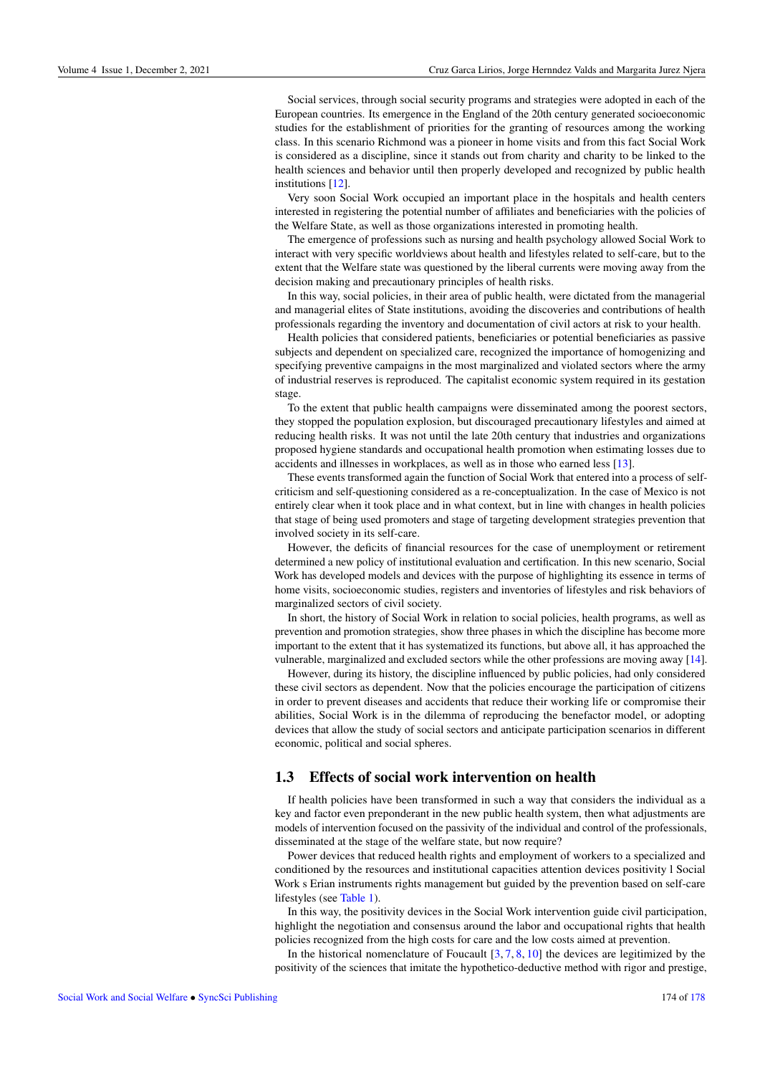Social services, through social security programs and strategies were adopted in each of the European countries. Its emergence in the England of the 20th century generated socioeconomic studies for the establishment of priorities for the granting of resources among the working class. In this scenario Richmond was a pioneer in home visits and from this fact Social Work is considered as a discipline, since it stands out from charity and charity to be linked to the health sciences and behavior until then properly developed and recognized by public health institutions [\[12\]](#page-6-5).

Very soon Social Work occupied an important place in the hospitals and health centers interested in registering the potential number of affiliates and beneficiaries with the policies of the Welfare State, as well as those organizations interested in promoting health.

The emergence of professions such as nursing and health psychology allowed Social Work to interact with very specific worldviews about health and lifestyles related to self-care, but to the extent that the Welfare state was questioned by the liberal currents were moving away from the decision making and precautionary principles of health risks.

In this way, social policies, in their area of public health, were dictated from the managerial and managerial elites of State institutions, avoiding the discoveries and contributions of health professionals regarding the inventory and documentation of civil actors at risk to your health.

Health policies that considered patients, beneficiaries or potential beneficiaries as passive subjects and dependent on specialized care, recognized the importance of homogenizing and specifying preventive campaigns in the most marginalized and violated sectors where the army of industrial reserves is reproduced. The capitalist economic system required in its gestation stage.

To the extent that public health campaigns were disseminated among the poorest sectors, they stopped the population explosion, but discouraged precautionary lifestyles and aimed at reducing health risks. It was not until the late 20th century that industries and organizations proposed hygiene standards and occupational health promotion when estimating losses due to accidents and illnesses in workplaces, as well as in those who earned less [\[13\]](#page-6-6).

These events transformed again the function of Social Work that entered into a process of selfcriticism and self-questioning considered as a re-conceptualization. In the case of Mexico is not entirely clear when it took place and in what context, but in line with changes in health policies that stage of being used promoters and stage of targeting development strategies prevention that involved society in its self-care.

However, the deficits of financial resources for the case of unemployment or retirement determined a new policy of institutional evaluation and certification. In this new scenario, Social Work has developed models and devices with the purpose of highlighting its essence in terms of home visits, socioeconomic studies, registers and inventories of lifestyles and risk behaviors of marginalized sectors of civil society.

In short, the history of Social Work in relation to social policies, health programs, as well as prevention and promotion strategies, show three phases in which the discipline has become more important to the extent that it has systematized its functions, but above all, it has approached the vulnerable, marginalized and excluded sectors while the other professions are moving away [\[14\]](#page-6-7).

However, during its history, the discipline influenced by public policies, had only considered these civil sectors as dependent. Now that the policies encourage the participation of citizens in order to prevent diseases and accidents that reduce their working life or compromise their abilities, Social Work is in the dilemma of reproducing the benefactor model, or adopting devices that allow the study of social sectors and anticipate participation scenarios in different economic, political and social spheres.

#### 1.3 Effects of social work intervention on health

If health policies have been transformed in such a way that considers the individual as a key and factor even preponderant in the new public health system, then what adjustments are models of intervention focused on the passivity of the individual and control of the professionals, disseminated at the stage of the welfare state, but now require?

Power devices that reduced health rights and employment of workers to a specialized and conditioned by the resources and institutional capacities attention devices positivity l Social Work s Erian instruments rights management but guided by the prevention based on self-care lifestyles (see [Table 1\)](#page-3-0).

In this way, the positivity devices in the Social Work intervention guide civil participation, highlight the negotiation and consensus around the labor and occupational rights that health policies recognized from the high costs for care and the low costs aimed at prevention.

In the historical nomenclature of Foucault  $[3, 7, 8, 10]$  $[3, 7, 8, 10]$  $[3, 7, 8, 10]$  $[3, 7, 8, 10]$  $[3, 7, 8, 10]$  $[3, 7, 8, 10]$  $[3, 7, 8, 10]$  the devices are legitimized by the positivity of the sciences that imitate the hypothetico-deductive method with rigor and prestige,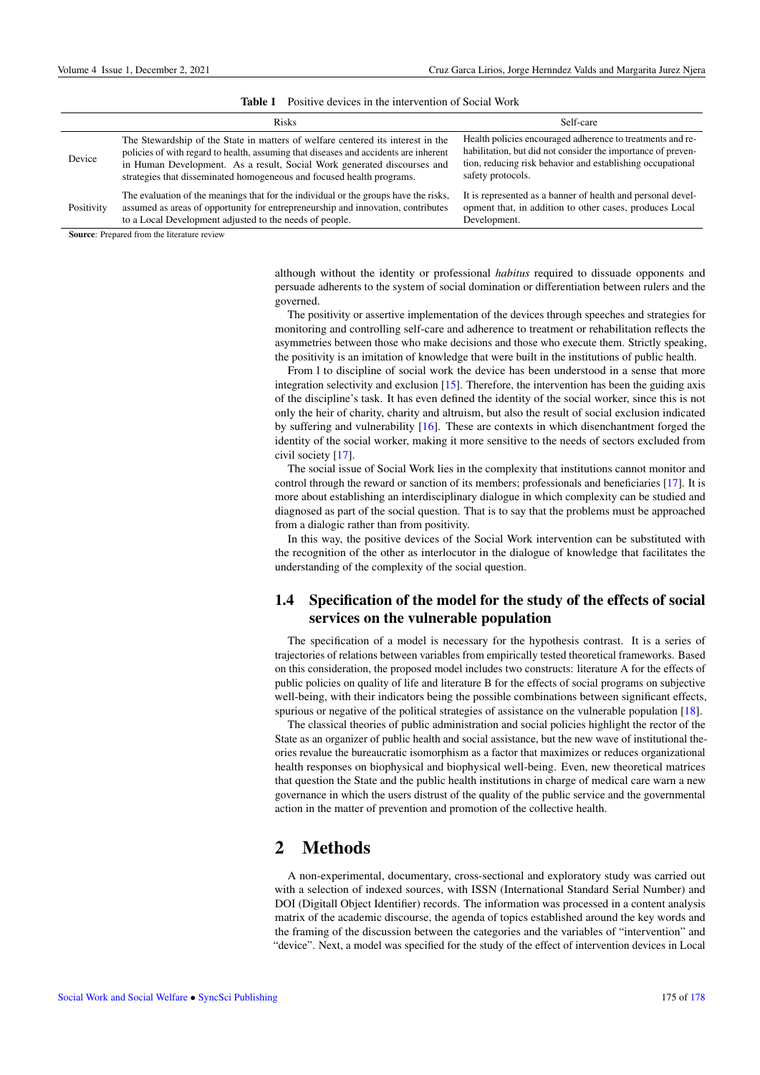<span id="page-3-0"></span>

|            | <b>Risks</b>                                                                                                                                                                                                                                                                                                                | Self-care                                                                                                                                                                                                     |
|------------|-----------------------------------------------------------------------------------------------------------------------------------------------------------------------------------------------------------------------------------------------------------------------------------------------------------------------------|---------------------------------------------------------------------------------------------------------------------------------------------------------------------------------------------------------------|
| Device     | The Stewardship of the State in matters of welfare centered its interest in the<br>policies of with regard to health, assuming that diseases and accidents are inherent<br>in Human Development. As a result, Social Work generated discourses and<br>strategies that disseminated homogeneous and focused health programs. | Health policies encouraged adherence to treatments and re-<br>habilitation, but did not consider the importance of preven-<br>tion, reducing risk behavior and establishing occupational<br>safety protocols. |
| Positivity | The evaluation of the meanings that for the individual or the groups have the risks,<br>assumed as areas of opportunity for entrepreneurship and innovation, contributes<br>to a Local Development adjusted to the needs of people.                                                                                         | It is represented as a banner of health and personal devel-<br>opment that, in addition to other cases, produces Local<br>Development.                                                                        |
|            | $\mathbf{a}$ . The set of the set of $\mathbf{a}$                                                                                                                                                                                                                                                                           |                                                                                                                                                                                                               |

Source: Prepared from the literature review

although without the identity or professional *habitus* required to dissuade opponents and persuade adherents to the system of social domination or differentiation between rulers and the governed.

The positivity or assertive implementation of the devices through speeches and strategies for monitoring and controlling self-care and adherence to treatment or rehabilitation reflects the asymmetries between those who make decisions and those who execute them. Strictly speaking, the positivity is an imitation of knowledge that were built in the institutions of public health.

From l to discipline of social work the device has been understood in a sense that more integration selectivity and exclusion [\[15\]](#page-6-8). Therefore, the intervention has been the guiding axis of the discipline's task. It has even defined the identity of the social worker, since this is not only the heir of charity, charity and altruism, but also the result of social exclusion indicated by suffering and vulnerability [\[16\]](#page-6-9). These are contexts in which disenchantment forged the identity of the social worker, making it more sensitive to the needs of sectors excluded from civil society [\[17\]](#page-6-10).

The social issue of Social Work lies in the complexity that institutions cannot monitor and control through the reward or sanction of its members; professionals and beneficiaries [\[17\]](#page-6-10). It is more about establishing an interdisciplinary dialogue in which complexity can be studied and diagnosed as part of the social question. That is to say that the problems must be approached from a dialogic rather than from positivity.

In this way, the positive devices of the Social Work intervention can be substituted with the recognition of the other as interlocutor in the dialogue of knowledge that facilitates the understanding of the complexity of the social question.

### 1.4 Specification of the model for the study of the effects of social services on the vulnerable population

The specification of a model is necessary for the hypothesis contrast. It is a series of trajectories of relations between variables from empirically tested theoretical frameworks. Based on this consideration, the proposed model includes two constructs: literature A for the effects of public policies on quality of life and literature B for the effects of social programs on subjective well-being, with their indicators being the possible combinations between significant effects, spurious or negative of the political strategies of assistance on the vulnerable population [\[18\]](#page-6-11).

The classical theories of public administration and social policies highlight the rector of the State as an organizer of public health and social assistance, but the new wave of institutional theories revalue the bureaucratic isomorphism as a factor that maximizes or reduces organizational health responses on biophysical and biophysical well-being. Even, new theoretical matrices that question the State and the public health institutions in charge of medical care warn a new governance in which the users distrust of the quality of the public service and the governmental action in the matter of prevention and promotion of the collective health.

# 2 Methods

A non-experimental, documentary, cross-sectional and exploratory study was carried out with a selection of indexed sources, with ISSN (International Standard Serial Number) and DOI (Digitall Object Identifier) records. The information was processed in a content analysis matrix of the academic discourse, the agenda of topics established around the key words and the framing of the discussion between the categories and the variables of "intervention" and "device". Next, a model was specified for the study of the effect of intervention devices in Local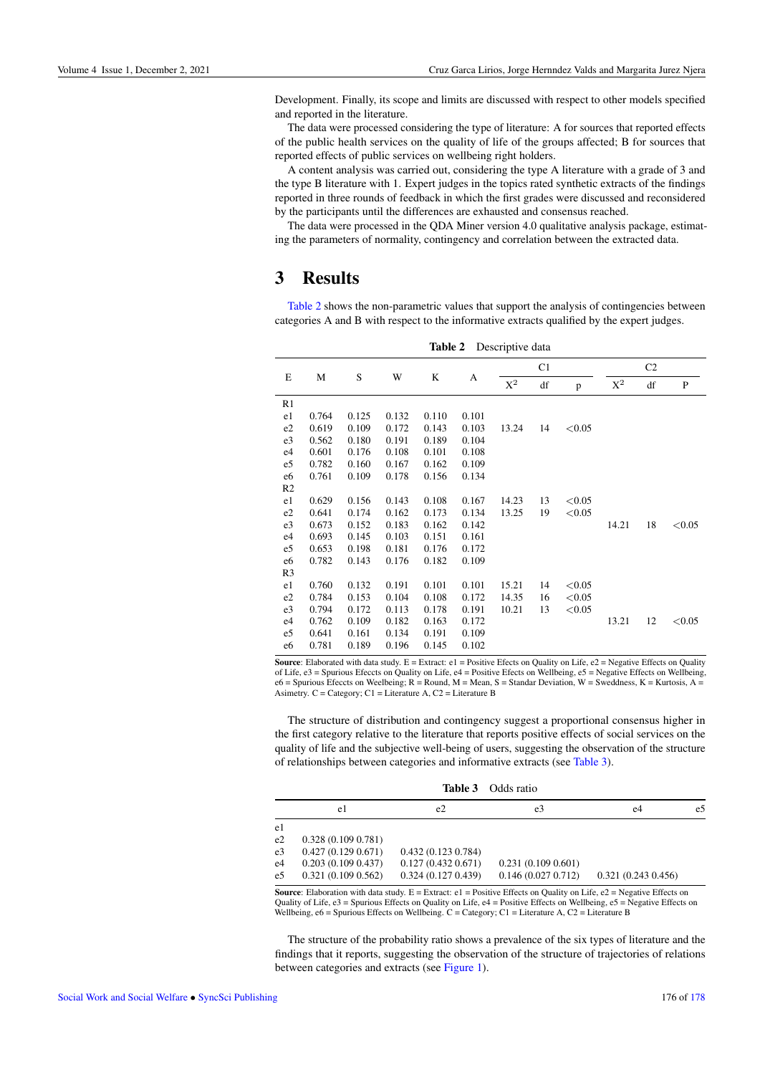Development. Finally, its scope and limits are discussed with respect to other models specified and reported in the literature.

The data were processed considering the type of literature: A for sources that reported effects of the public health services on the quality of life of the groups affected; B for sources that reported effects of public services on wellbeing right holders.

A content analysis was carried out, considering the type A literature with a grade of 3 and the type B literature with 1. Expert judges in the topics rated synthetic extracts of the findings reported in three rounds of feedback in which the first grades were discussed and reconsidered by the participants until the differences are exhausted and consensus reached.

The data were processed in the QDA Miner version 4.0 qualitative analysis package, estimating the parameters of normality, contingency and correlation between the extracted data.

# 3 Results

[Table 2](#page-4-0) shows the non-parametric values that support the analysis of contingencies between categories A and B with respect to the informative extracts qualified by the expert judges.

<span id="page-4-0"></span>

| Table 2<br>Descriptive data |       |       |       |       |       |                |    |        |                |    |        |
|-----------------------------|-------|-------|-------|-------|-------|----------------|----|--------|----------------|----|--------|
| E                           | М     | S     | W     | K     | A     | C1             |    |        | C <sub>2</sub> |    |        |
|                             |       |       |       |       |       | $\mathbf{X}^2$ | df | p      | $X^2$          | df | P      |
| R <sub>1</sub>              |       |       |       |       |       |                |    |        |                |    |        |
| e1                          | 0.764 | 0.125 | 0.132 | 0.110 | 0.101 |                |    |        |                |    |        |
| e2                          | 0.619 | 0.109 | 0.172 | 0.143 | 0.103 | 13.24          | 14 | < 0.05 |                |    |        |
| e3                          | 0.562 | 0.180 | 0.191 | 0.189 | 0.104 |                |    |        |                |    |        |
| e4                          | 0.601 | 0.176 | 0.108 | 0.101 | 0.108 |                |    |        |                |    |        |
| e5                          | 0.782 | 0.160 | 0.167 | 0.162 | 0.109 |                |    |        |                |    |        |
| e <sub>6</sub>              | 0.761 | 0.109 | 0.178 | 0.156 | 0.134 |                |    |        |                |    |        |
| R <sub>2</sub>              |       |       |       |       |       |                |    |        |                |    |        |
| e1                          | 0.629 | 0.156 | 0.143 | 0.108 | 0.167 | 14.23          | 13 | < 0.05 |                |    |        |
| e2                          | 0.641 | 0.174 | 0.162 | 0.173 | 0.134 | 13.25          | 19 | < 0.05 |                |    |        |
| e <sub>3</sub>              | 0.673 | 0.152 | 0.183 | 0.162 | 0.142 |                |    |        | 14.21          | 18 | < 0.05 |
| e4                          | 0.693 | 0.145 | 0.103 | 0.151 | 0.161 |                |    |        |                |    |        |
| e5                          | 0.653 | 0.198 | 0.181 | 0.176 | 0.172 |                |    |        |                |    |        |
| e6                          | 0.782 | 0.143 | 0.176 | 0.182 | 0.109 |                |    |        |                |    |        |
| R <sub>3</sub>              |       |       |       |       |       |                |    |        |                |    |        |
| e1                          | 0.760 | 0.132 | 0.191 | 0.101 | 0.101 | 15.21          | 14 | < 0.05 |                |    |        |
| e2                          | 0.784 | 0.153 | 0.104 | 0.108 | 0.172 | 14.35          | 16 | < 0.05 |                |    |        |
| e3                          | 0.794 | 0.172 | 0.113 | 0.178 | 0.191 | 10.21          | 13 | < 0.05 |                |    |        |
| e4                          | 0.762 | 0.109 | 0.182 | 0.163 | 0.172 |                |    |        | 13.21          | 12 | < 0.05 |
| e5                          | 0.641 | 0.161 | 0.134 | 0.191 | 0.109 |                |    |        |                |    |        |
| e6                          | 0.781 | 0.189 | 0.196 | 0.145 | 0.102 |                |    |        |                |    |        |

**Source:** Elaborated with data study.  $E =$  Extract:  $e1 =$  Positive Efects on Quality on Life,  $e2 =$  Negative Effects on Quality of Life, e3 = Spurious Efeccts on Quality on Life, e4 = Positive Efects on Wellbeing, e5 = Negative Effects on Wellbeing,<br>e6 = Spurious Efeccts on Weelbeing; R = Round, M = Mean, S = Standar Deviation, W = Sweddness, K = K Asimetry. C = Category; C1 = Literature A, C2 = Literature B

The structure of distribution and contingency suggest a proportional consensus higher in the first category relative to the literature that reports positive effects of social services on the quality of life and the subjective well-being of users, suggesting the observation of the structure of relationships between categories and informative extracts (see [Table 3\)](#page-4-1).

<span id="page-4-1"></span>

| Table 3<br>Odds ratio |                   |                                                                                                                |                   |                   |    |  |
|-----------------------|-------------------|----------------------------------------------------------------------------------------------------------------|-------------------|-------------------|----|--|
|                       | e1                | e2                                                                                                             | e3                | e4                | e5 |  |
| e1                    |                   |                                                                                                                |                   |                   |    |  |
| e2                    | 0.328(0.1090.781) |                                                                                                                |                   |                   |    |  |
| e <sub>3</sub>        | 0.427(0.1290.671) | 0.432(0.1230.784)                                                                                              |                   |                   |    |  |
| e <sub>4</sub>        | 0.203(0.1090.437) | 0.127(0.4320.671)                                                                                              | 0.231(0.1090.601) |                   |    |  |
| e5                    | 0.321(0.1090.562) | 0.324(0.1270.439)                                                                                              | 0.146(0.0270.712) | 0.321(0.2430.456) |    |  |
| $\sim$                |                   | met de la cension de la contradicto de la contradicto de la contradicto de la contradicto de la contradicto de |                   |                   |    |  |

**Source:** Elaboration with data study.  $E =$  Extract:  $e1 =$  Positive Effects on Quality on Life,  $e2 =$  Negative Effects on Quality of Life, e3 = Spurious Effects on Quality on Life, e4 = Positive Effects on Wellbeing, e5 = Negative Effects on Wellbeing, e6 = Spurious Effects on Wellbeing. C = Category; C1 = Literature A, C2 = Literature B

The structure of the probability ratio shows a prevalence of the six types of literature and the findings that it reports, suggesting the observation of the structure of trajectories of relations between categories and extracts (see [Figure 1\)](#page-5-7).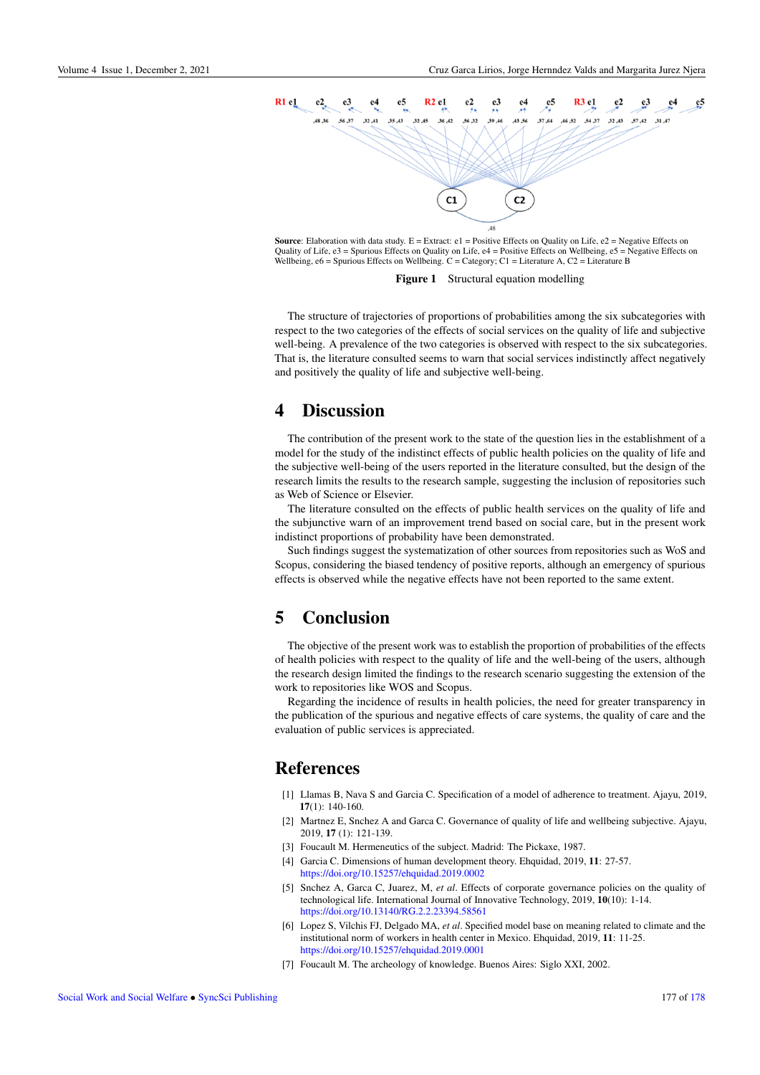<span id="page-5-7"></span>

**Source:** Elaboration with data study.  $E =$  Extract:  $e1 =$  Positive Effects on Quality on Life,  $e2 =$  Negative Effects on Quality of Life, e3 = Spurious Effects on Quality on Life, e4 = Positive Effects on Wellbeing, e5 = Negative Effects on Wellbeing,  $e6 =$  Spurious Effects on Wellbeing.  $C =$  Category;  $C1 =$  Literature A,  $C2 =$  Literature B

Figure 1 Structural equation modelling

The structure of trajectories of proportions of probabilities among the six subcategories with respect to the two categories of the effects of social services on the quality of life and subjective well-being. A prevalence of the two categories is observed with respect to the six subcategories. That is, the literature consulted seems to warn that social services indistinctly affect negatively and positively the quality of life and subjective well-being.

# 4 Discussion

The contribution of the present work to the state of the question lies in the establishment of a model for the study of the indistinct effects of public health policies on the quality of life and the subjective well-being of the users reported in the literature consulted, but the design of the research limits the results to the research sample, suggesting the inclusion of repositories such as Web of Science or Elsevier.

The literature consulted on the effects of public health services on the quality of life and the subjunctive warn of an improvement trend based on social care, but in the present work indistinct proportions of probability have been demonstrated.

Such findings suggest the systematization of other sources from repositories such as WoS and Scopus, considering the biased tendency of positive reports, although an emergency of spurious effects is observed while the negative effects have not been reported to the same extent.

# 5 Conclusion

The objective of the present work was to establish the proportion of probabilities of the effects of health policies with respect to the quality of life and the well-being of the users, although the research design limited the findings to the research scenario suggesting the extension of the work to repositories like WOS and Scopus.

Regarding the incidence of results in health policies, the need for greater transparency in the publication of the spurious and negative effects of care systems, the quality of care and the evaluation of public services is appreciated.

# References

- <span id="page-5-0"></span>[1] Llamas B, Nava S and Garcia C. Specification of a model of adherence to treatment. Ajayu, 2019,  $17(1): 140-160.$
- <span id="page-5-1"></span>[2] Martnez E, Snchez A and Garca C. Governance of quality of life and wellbeing subjective. Ajayu, 2019, 17 (1): 121-139.
- <span id="page-5-2"></span>[3] Foucault M. Hermeneutics of the subject. Madrid: The Pickaxe, 1987.
- <span id="page-5-3"></span>[4] Garcia C. Dimensions of human development theory. Ehquidad, 2019, 11: 27-57. <https://doi.org/10.15257/ehquidad.2019.0002>
- <span id="page-5-4"></span>[5] Snchez A, Garca C, Juarez, M, *et al*. Effects of corporate governance policies on the quality of technological life. International Journal of Innovative Technology, 2019, 10(10): 1-14. <https://doi.org/10.13140/RG.2.2.23394.58561>
- <span id="page-5-5"></span>[6] Lopez S, Vilchis FJ, Delgado MA, *et al*. Specified model base on meaning related to climate and the institutional norm of workers in health center in Mexico. Ehquidad, 2019, 11: 11-25. <https://doi.org/10.15257/ehquidad.2019.0001>
- <span id="page-5-6"></span>[7] Foucault M. The archeology of knowledge. Buenos Aires: Siglo XXI, 2002.